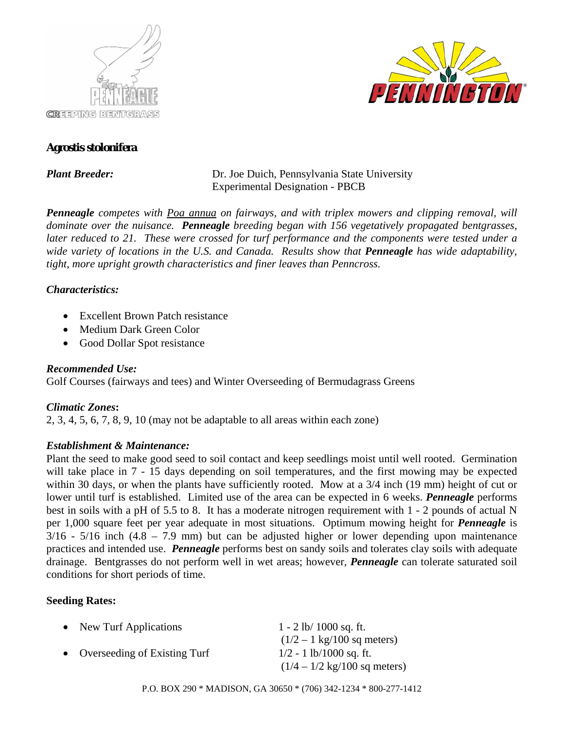



## **Agrostis stolonifera**

*Plant Breeder:* **Dr.** Joe Duich, Pennsylvania State University **Experimental Designation - PBCB** 

*Penneagle competes with Poa annua on fairways, and with triplex mowers and clipping removal, will dominate over the nuisance. Penneagle breeding began with 156 vegetatively propagated bentgrasses, later reduced to 21. These were crossed for turf performance and the components were tested under a wide variety of locations in the U.S. and Canada. Results show that Penneagle has wide adaptability, tight, more upright growth characteristics and finer leaves than Penncross.* 

#### *Characteristics:*

- Excellent Brown Patch resistance
- Medium Dark Green Color
- Good Dollar Spot resistance

## *Recommended Use:*

Golf Courses (fairways and tees) and Winter Overseeding of Bermudagrass Greens

## *Climatic Zones***:**

2, 3, 4, 5, 6, 7, 8, 9, 10 (may not be adaptable to all areas within each zone)

## *Establishment & Maintenance:*

Plant the seed to make good seed to soil contact and keep seedlings moist until well rooted. Germination will take place in 7 - 15 days depending on soil temperatures, and the first mowing may be expected within 30 days, or when the plants have sufficiently rooted. Mow at a 3/4 inch (19 mm) height of cut or lower until turf is established. Limited use of the area can be expected in 6 weeks. *Penneagle* performs best in soils with a pH of 5.5 to 8. It has a moderate nitrogen requirement with 1 - 2 pounds of actual N per 1,000 square feet per year adequate in most situations. Optimum mowing height for *Penneagle* is  $3/16$  -  $5/16$  inch  $(4.8 - 7.9 \text{ mm})$  but can be adjusted higher or lower depending upon maintenance practices and intended use. *Penneagle* performs best on sandy soils and tolerates clay soils with adequate drainage. Bentgrasses do not perform well in wet areas; however, *Penneagle* can tolerate saturated soil conditions for short periods of time.

# **Seeding Rates:**

| • New Turf Applications        | $1 - 2 lb/ 1000 sq. ft.$                       |
|--------------------------------|------------------------------------------------|
|                                | $(1/2 - 1 \text{ kg}/100 \text{ sq meters})$   |
| • Overseeding of Existing Turf | $1/2 - 1$ lb/1000 sq. ft.                      |
|                                | $(1/4 - 1/2 \text{ kg}/100 \text{ sq meters})$ |